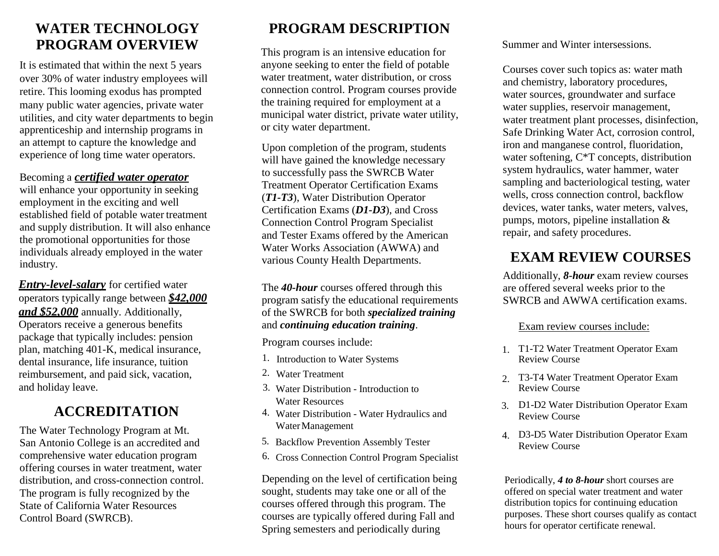### **WATER TECHNOLOGY PROGRAM OVERVIEW**

It is estimated that within the next 5 years over 30% of water industry employees will retire. This looming exodus has prompted many public water agencies, private water utilities, and city water departments to begin apprenticeship and internship programs in an attempt to capture the knowledge and experience of long time water operators.

#### Becoming a *certified water operator*

will enhance your opportunity in seeking employment in the exciting and well established field of potable water treatment and supply distribution. It will also enhance the promotional opportunities for those individuals already employed in the water industry.

*Entry-level-salary* for certified water operators typically range between *\$42,000 and \$52,000* annually. Additionally, Operators receive a generous benefits package that typically includes: pension plan, matching 401-K, medical insurance, dental insurance, life insurance, tuition reimbursement, and paid sick, vacation, and holiday leave.

## **ACCREDITATION**

The Water Technology Program at Mt. San Antonio College is an accredited and comprehensive water education program offering courses in water treatment, water distribution, and cross-connection control. The program is fully recognized by the State of California Water Resources Control Board (SWRCB).

# **PROGRAM DESCRIPTION**

This program is an intensive education for anyone seeking to enter the field of potable water treatment, water distribution, or cross connection control. Program courses provide the training required for employment at a municipal water district, private water utility, or city water department.

Upon completion of the program, students will have gained the knowledge necessary to successfully pass the SWRCB Water Treatment Operator Certification Exams (*T1-T3*), Water Distribution Operator Certification Exams (*D1-D3*), and Cross Connection Control Program Specialist and Tester Exams offered by the American Water Works Association (AWWA) and various County Health Departments.

The *40-hour* courses offered through this program satisfy the educational requirements of the SWRCB for both *specialized training*  and *continuing education training*.

Program courses include:

- 1. Introduction to Water Systems
- 2. Water Treatment
- 3. Water Distribution Introduction to Water Resources
- 4. Water Distribution Water Hydraulics and WaterManagement
- 5. Backflow Prevention Assembly Tester
- 6. Cross Connection Control Program Specialist

Depending on the level of certification being sought, students may take one or all of the courses offered through this program. The courses are typically offered during Fall and Spring semesters and periodically during

Summer and Winter intersessions.

Courses cover such topics as: water math and chemistry, laboratory procedures, water sources, groundwater and surface water supplies, reservoir management, water treatment plant processes, disinfection, Safe Drinking Water Act, corrosion control, iron and manganese control, fluoridation, water softening, C\*T concepts, distribution system hydraulics, water hammer, water sampling and bacteriological testing, water wells, cross connection control, backflow devices, water tanks, water meters, valves, pumps, motors, pipeline installation & repair, and safety procedures.

# **EXAM REVIEW COURSES**

Additionally, *8-hour* exam review courses are offered several weeks prior to the SWRCB and AWWA certification exams.

#### Exam review courses include:

- 1. T1-T2 Water Treatment Operator Exam Review Course
- 2. T3-T4 Water Treatment Operator Exam Review Course
- 3. D1-D2 Water Distribution Operator Exam Review Course
- 4. D3-D5 Water Distribution Operator Exam Review Course

Periodically, *4 to 8-hour* short courses are offered on special water treatment and water distribution topics for continuing education purposes. These short courses qualify as contact hours for operator certificate renewal.